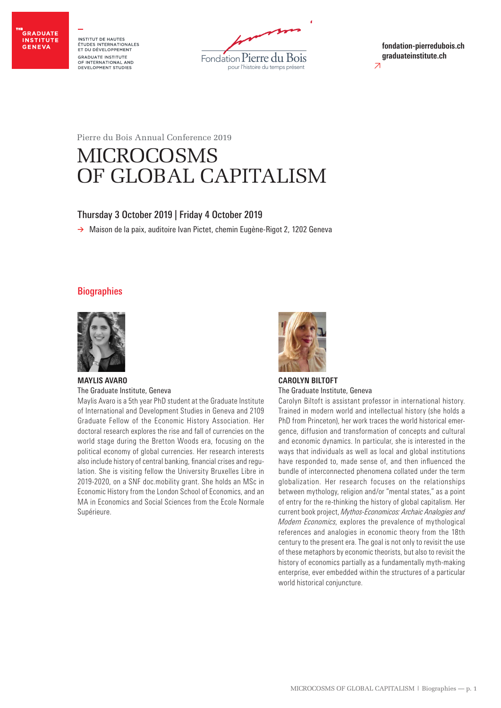

INSTITUT DE HAUTES<br>ÉTUDES INTERNATIONALES<br>ET DU DÉVELOPPEMENT **GRADUATE INSTITUTE** OF INTERNATIONAL AND DEVELOPMENT STUDIES



≥ **fondation-pierredubois.ch graduateinstitute.ch**

Pierre du Bois Annual Conference 2019

# MICROCOSMS OF GLOBAL CAPITALISM

# Thursday 3 October 2019 | Friday 4 October 2019

**>** Maison de la paix, auditoire Ivan Pictet, chemin Eugène-Rigot 2, 1202 Geneva

# **Biographies**



# **MAYLIS AVARO** The Graduate Institute, Geneva

Maylis Avaro is a 5th year PhD student at the Graduate Institute of International and Development Studies in Geneva and 2109 Graduate Fellow of the Economic History Association. Her doctoral research explores the rise and fall of currencies on the world stage during the Bretton Woods era, focusing on the political economy of global currencies. Her research interests also include history of central banking, financial crises and regulation. She is visiting fellow the University Bruxelles Libre in 2019-2020, on a SNF doc.mobility grant. She holds an MSc in Economic History from the London School of Economics, and an MA in Economics and Social Sciences from the Ecole Normale Supérieure.



**CAROLYN BILTOFT** The Graduate Institute, Geneva

Carolyn Biltoft is assistant professor in international history. Trained in modern world and intellectual history (she holds a PhD from Princeton), her work traces the world historical emergence, diffusion and transformation of concepts and cultural and economic dynamics. In particular, she is interested in the ways that individuals as well as local and global institutions have responded to, made sense of, and then influenced the bundle of interconnected phenomena collated under the term globalization. Her research focuses on the relationships between mythology, religion and/or "mental states," as a point of entry for the re-thinking the history of global capitalism. Her current book project, *Mythos-Economicos: Archaic Analogies and Modern Economics*, explores the prevalence of mythological references and analogies in economic theory from the 18th century to the present era. The goal is not only to revisit the use of these metaphors by economic theorists, but also to revisit the history of economics partially as a fundamentally myth-making enterprise, ever embedded within the structures of a particular world historical conjuncture.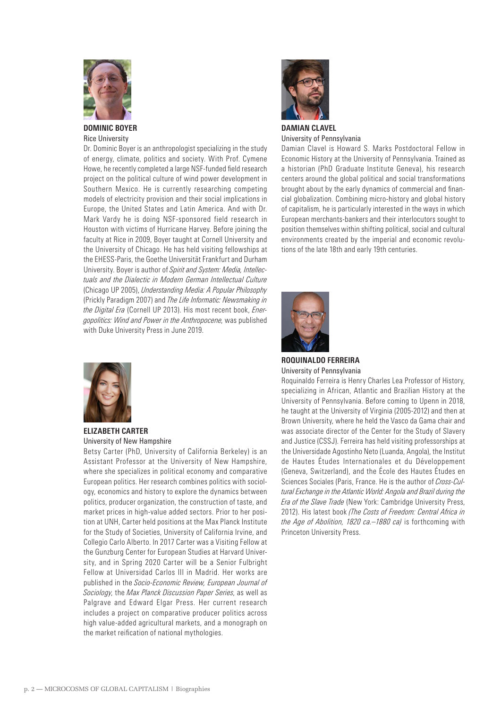

**DOMINIC BOYER** Rice University

Dr. Dominic Boyer is an anthropologist specializing in the study of energy, climate, politics and society. With Prof. Cymene Howe, he recently completed a large NSF-funded field research project on the political culture of wind power development in Southern Mexico. He is currently researching competing models of electricity provision and their social implications in Europe, the United States and Latin America. And with Dr. Mark Vardy he is doing NSF-sponsored field research in Houston with victims of Hurricane Harvey. Before joining the faculty at Rice in 2009, Boyer taught at Cornell University and the University of Chicago. He has held visiting fellowships at the EHESS-Paris, the Goethe Universität Frankfurt and Durham University. Boyer is author of *Spirit and System: Media, Intellectuals and the Dialectic in Modern German Intellectual Culture* (Chicago UP 2005), *Understanding Media: A Popular Philosophy* (Prickly Paradigm 2007) and *The Life Informatic: Newsmaking in the Digital Era* (Cornell UP 2013). His most recent book, *Energopolitics: Wind and Power in the Anthropocene*, was published with Duke University Press in June 2019.



**ELIZABETH CARTER** University of New Hampshire

Betsy Carter (PhD, University of California Berkeley) is an Assistant Professor at the University of New Hampshire, where she specializes in political economy and comparative European politics. Her research combines politics with sociology, economics and history to explore the dynamics between politics, producer organization, the construction of taste, and market prices in high-value added sectors. Prior to her position at UNH, Carter held positions at the Max Planck Institute for the Study of Societies, University of California Irvine, and Collegio Carlo Alberto. In 2017 Carter was a Visiting Fellow at the Gunzburg Center for European Studies at Harvard University, and in Spring 2020 Carter will be a Senior Fulbright Fellow at Universidad Carlos III in Madrid. Her works are published in the *Socio-Economic Review, European Journal of Sociology*, the *Max Planck Discussion Paper Series*, as well as Palgrave and Edward Elgar Press. Her current research includes a project on comparative producer politics across high value-added agricultural markets, and a monograph on the market reification of national mythologies.



**DAMIAN CLAVEL** University of Pennsylvania

Damian Clavel is Howard S. Marks Postdoctoral Fellow in Economic History at the University of Pennsylvania. Trained as a historian (PhD Graduate Institute Geneva), his research centers around the global political and social transformations brought about by the early dynamics of commercial and financial globalization. Combining micro-history and global history of capitalism, he is particularly interested in the ways in which European merchants-bankers and their interlocutors sought to position themselves within shifting political, social and cultural environments created by the imperial and economic revolutions of the late 18th and early 19th centuries.



**ROQUINALDO FERREIRA** University of Pennsylvania

Roquinaldo Ferreira is Henry Charles Lea Professor of History, specializing in African, Atlantic and Brazilian History at the University of Pennsylvania. Before coming to Upenn in 2018, he taught at the University of Virginia (2005-2012) and then at Brown University, where he held the Vasco da Gama chair and was associate director of the Center for the Study of Slavery and Justice (CSSJ). Ferreira has held visiting professorships at the Universidade Agostinho Neto (Luanda, Angola), the Institut de Hautes Études Internationales et du Développement (Geneva, Switzerland), and the École des Hautes Études en Sciences Sociales (Paris, France. He is the author of *Cross-Cultural Exchange in the Atlantic World: Angola and Brazil during the Era of the Slave Trade* (New York: Cambridge University Press, 2012). His latest book *(The Costs of Freedom: Central Africa in the Age of Abolition, 1820 ca.–1880 ca)* is forthcoming with Princeton University Press.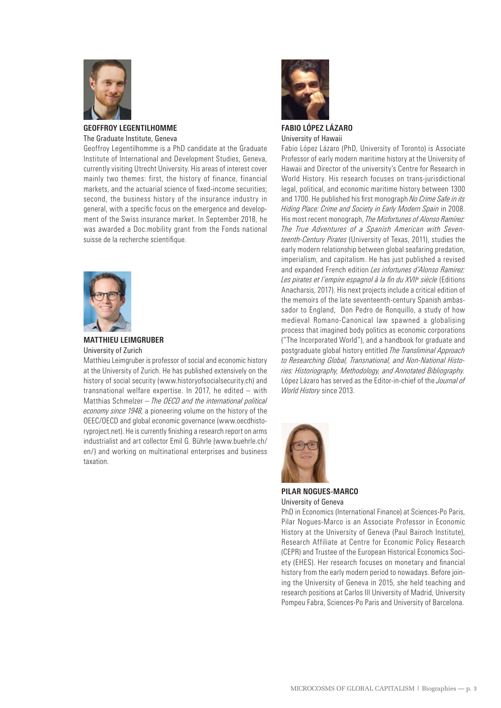

#### **GEOFFROY LEGENTILHOMME** The Graduate Institute, Geneva

Geoffroy Legentilhomme is a PhD candidate at the Graduate Institute of International and Development Studies, Geneva, currently visiting Utrecht University. His areas of interest cover mainly two themes: first, the history of finance, financial markets, and the actuarial science of fixed-income securities; second, the business history of the insurance industry in general, with a specific focus on the emergence and development of the Swiss insurance market. In September 2018, he was awarded a Doc.mobility grant from the Fonds national suisse de la recherche scientifique.



# **MATTHIEU LEIMGRUBER** University of Zurich

Matthieu Leimgruber is professor of social and economic history at the University of Zurich. He has published extensively on the history of social security (www.historyofsocialsecurity.ch) and transnational welfare expertise. In 2017, he edited – with Matthias Schmelzer – *The OECD and the international political economy since 1948*, a pioneering volume on the history of the OEEC/OECD and global economic governance (www.oecdhistoryproject.net). He is currently finishing a research report on arms industrialist and art collector Emil G. Bührle (www.buehrle.ch/ en/) and working on multinational enterprises and business taxation.



**FABIO LÓPEZ LÁZARO** University of Hawaii

Fabio López Lázaro (PhD, University of Toronto) is Associate Professor of early modern maritime history at the University of Hawaii and Director of the university's Centre for Research in World History. His research focuses on trans-jurisdictional legal, political, and economic maritime history between 1300 and 1700. He published his first monograph *No Crime Safe in its Hiding Place: Crime and Society in Early Modern Spain* in 2008. His most recent monograph, *The Misfortunes of Alonso Ramírez: The True Adventures of a Spanish American with Seventeenth-Century Pirates* (University of Texas, 2011), studies the early modern relationship between global seafaring predation, imperialism, and capitalism. He has just published a revised and expanded French edition *Les infortunes d'Alonso Ramirez: Les pirates et l'empire espagnol à la fin du XVIIe siècle* (Editions Anacharsis, 2017). His next projects include a critical edition of the memoirs of the late seventeenth-century Spanish ambassador to England, Don Pedro de Ronquillo, a study of how medieval Romano-Canonical law spawned a globalising process that imagined body politics as economic corporations ("The Incorporated World"), and a handbook for graduate and postgraduate global history entitled *The Transliminal Approach to Researching Global, Transnational, and Non-National Histories: Historiography, Methodology, and Annotated Bibliography.* López Lázaro has served as the Editor-in-chief of the *Journal of World History* since 2013.



**PILAR NOGUES-MARCO** University of Geneva

PhD in Economics (International Finance) at Sciences-Po Paris, Pilar Nogues-Marco is an Associate Professor in Economic History at the University of Geneva (Paul Bairoch Institute), Research Affiliate at Centre for Economic Policy Research (CEPR) and Trustee of the European Historical Economics Society (EHES). Her research focuses on monetary and financial history from the early modern period to nowadays. Before joining the University of Geneva in 2015, she held teaching and research positions at Carlos III University of Madrid, University Pompeu Fabra, Sciences-Po Paris and University of Barcelona.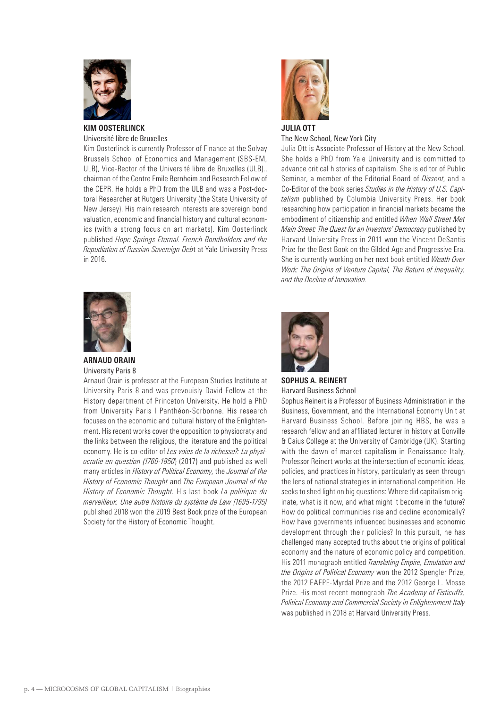

# **KIM OOSTERLINCK** Université libre de Bruxelles

Kim Oosterlinck is currently Professor of Finance at the Solvay Brussels School of Economics and Management (SBS-EM, ULB), Vice-Rector of the Université libre de Bruxelles (ULB)., chairman of the Centre Emile Bernheim and Research Fellow of the CEPR. He holds a PhD from the ULB and was a Post-doctoral Researcher at Rutgers University (the State University of New Jersey). His main research interests are sovereign bond valuation, economic and financial history and cultural economics (with a strong focus on art markets). Kim Oosterlinck published *Hope Springs Eternal. French Bondholders and the Repudiation of Russian Sovereign Deb*t at Yale University Press in 2016.



The New School, New York City

Julia Ott is Associate Professor of History at the New School. She holds a PhD from Yale University and is committed to advance critical histories of capitalism. She is editor of Public Seminar, a member of the Editorial Board of *Dissent*, and a Co-Editor of the book series *Studies in the History of U.S. Capitalism* published by Columbia University Press. Her book researching how participation in financial markets became the embodiment of citizenship and entitled *When Wall Street Met Main Street: The Quest for an Investors' Democracy* published by Harvard University Press in 2011 won the Vincent DeSantis Prize for the Best Book on the Gilded Age and Progressive Era. She is currently working on her next book entitled *Weath Over Work: The Origins of Venture Capital, The Return of Inequality, and the Decline of Innovation*.



# **ARNAUD ORAIN** University Paris 8

Arnaud Orain is professor at the European Studies Institute at University Paris 8 and was prevouisly David Fellow at the History department of Princeton University. He hold a PhD from University Paris I Panthéon-Sorbonne. His research focuses on the economic and cultural history of the Enlightenment. His recent works cover the opposition to physiocraty and the links between the religious, the literature and the political economy. He is co-editor of *Les voies de la richesse?: La physiocratie en question (1760-1850*) (2017) and published as well many articles in *History of Political Economy*, the *Journal of the History of Economic Thought* and *The European Journal of the History of Economic Thought*. His last book *La politique du merveilleux. Une autre histoire du système de Law (1695-1795)*  published 2018 won the 2019 Best Book prize of the European Society for the History of Economic Thought.



**SOPHUS A. REINERT** Harvard Business School

Sophus Reinert is a Professor of Business Administration in the Business, Government, and the International Economy Unit at Harvard Business School. Before joining HBS, he was a research fellow and an affiliated lecturer in history at Gonville & Caius College at the University of Cambridge (UK). Starting with the dawn of market capitalism in Renaissance Italy, Professor Reinert works at the intersection of economic ideas, policies, and practices in history, particularly as seen through the lens of national strategies in international competition. He seeks to shed light on big questions: Where did capitalism originate, what is it now, and what might it become in the future? How do political communities rise and decline economically? How have governments influenced businesses and economic development through their policies? In this pursuit, he has challenged many accepted truths about the origins of political economy and the nature of economic policy and competition. His 2011 monograph entitled *Translating Empire, Emulation and the Origins of Political Economy* won the 2012 Spengler Prize, the 2012 EAEPE-Myrdal Prize and the 2012 George L. Mosse Prize. His most recent monograph *The Academy of Fisticuffs, Political Economy and Commercial Society in Enlightenment Italy* was published in 2018 at Harvard University Press.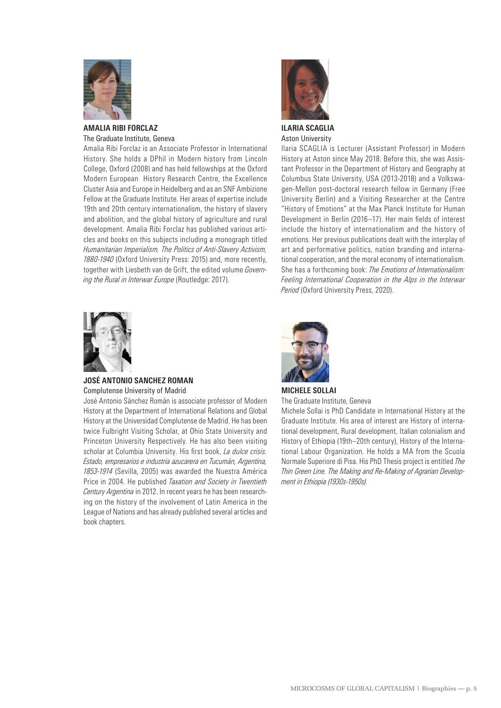

#### **AMALIA RIBI FORCLAZ** The Graduate Institute, Geneva

Amalia Ribi Forclaz is an Associate Professor in International History. She holds a DPhil in Modern history from Lincoln College, Oxford (2008) and has held fellowships at the Oxford Modern European History Research Centre, the Excellence Cluster Asia and Europe in Heidelberg and as an SNF Ambizione Fellow at the Graduate Institute. Her areas of expertise include 19th and 20th century internationalism, the history of slavery and abolition, and the global history of agriculture and rural development. Amalia Ribi Forclaz has published various articles and books on this subjects including a monograph titled *Humanitarian Imperialism. The Politics of Anti-Slavery Activism, 1880-1940* (Oxford University Press: 2015) and, more recently, together with Liesbeth van de Grift, the edited volume *Governing the Rural in Interwar Europe* (Routledge: 2017).



**ILARIA SCAGLIA** Aston University

Ilaria SCAGLIA is Lecturer (Assistant Professor) in Modern History at Aston since May 2018. Before this, she was Assistant Professor in the Department of History and Geography at Columbus State University, USA (2013-2018) and a Volkswagen-Mellon post-doctoral research fellow in Germany (Free University Berlin) and a Visiting Researcher at the Centre "History of Emotions" at the Max Planck Institute for Human Development in Berlin (2016–17). Her main fields of interest include the history of internationalism and the history of emotions. Her previous publications dealt with the interplay of art and performative politics, nation branding and international cooperation, and the moral economy of internationalism. She has a forthcoming book: *The Emotions of Internationalism: Feeling International Cooperation in the Alps in the Interwar Period* (Oxford University Press, 2020).



# **JOSÉ ANTONIO SANCHEZ ROMAN** Complutense University of Madrid

José Antonio Sánchez Román is associate professor of Modern History at the Department of International Relations and Global History at the Universidad Complutense de Madrid. He has been twice Fulbright Visiting Scholar, at Ohio State University and Princeton University Respectively. He has also been visiting scholar at Columbia University. His first book, *La dulce crisis. Estado, empresarios e industria azucarera en Tucumán, Argentina, 1853-1914* (Sevilla, 2005) was awarded the Nuestra América Price in 2004. He published *Taxation and Society in Twentieth Century Argentina* in 2012. In recent years he has been researching on the history of the involvement of Latin America in the League of Nations and has already published several articles and book chapters.



**MICHELE SOLLAI** The Graduate Institute, Geneva

Michele Sollai is PhD Candidate in International History at the Graduate Institute. His area of interest are History of international development, Rural development, Italian colonialism and History of Ethiopia (19th–20th century), History of the International Labour Organization. He holds a MA from the Scuola Normale Superiore di Pisa. His PhD Thesis project is entitled *The Thin Green Line. The Making and Re-Making of Agrarian Development in Ethiopia (1930s-1950s)*.